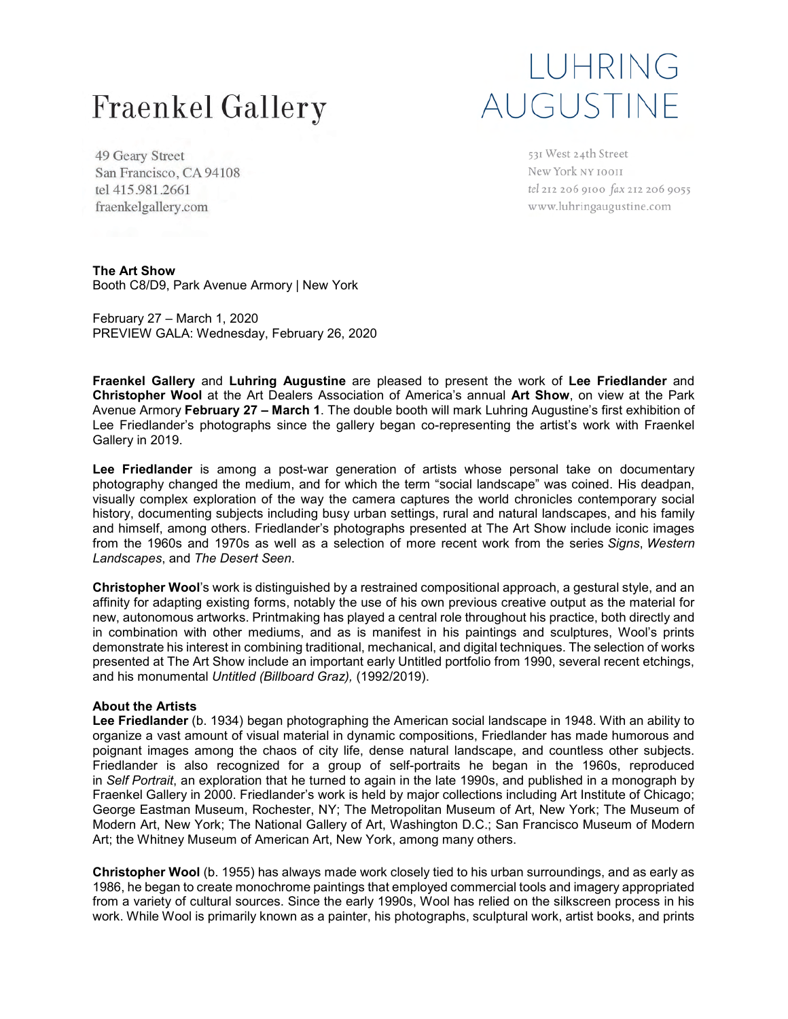## **Fraenkel Gallery**

## LUHRING AUGUSTINE

49 Geary Street San Francisco, CA 94108 tel 415.981.2661 fraenkelgallery.com

531 West 24th Street New York NY 10011 tel 212 206 9100 fax 212 206 9055 www.luhringaugustine.com

**The Art Show** Booth C8/D9, Park Avenue Armory | New York

February 27 – March 1, 2020 PREVIEW GALA: Wednesday, February 26, 2020

**Fraenkel Gallery** and **Luhring Augustine** are pleased to present the work of **Lee Friedlander** and **Christopher Wool** at the Art Dealers Association of America's annual **Art Show**, on view at the Park Avenue Armory **February 27 – March 1**. The double booth will mark Luhring Augustine's first exhibition of Lee Friedlander's photographs since the gallery began co-representing the artist's work with Fraenkel Gallery in 2019.

**Lee Friedlander** is among a post-war generation of artists whose personal take on documentary photography changed the medium, and for which the term "social landscape" was coined. His deadpan, visually complex exploration of the way the camera captures the world chronicles contemporary social history, documenting subjects including busy urban settings, rural and natural landscapes, and his family and himself, among others. Friedlander's photographs presented at The Art Show include iconic images from the 1960s and 1970s as well as a selection of more recent work from the series *Signs*, *Western Landscapes*, and *The Desert Seen*.

**Christopher Wool**'s work is distinguished by a restrained compositional approach, a gestural style, and an affinity for adapting existing forms, notably the use of his own previous creative output as the material for new, autonomous artworks. Printmaking has played a central role throughout his practice, both directly and in combination with other mediums, and as is manifest in his paintings and sculptures, Wool's prints demonstrate his interest in combining traditional, mechanical, and digital techniques. The selection of works presented at The Art Show include an important early Untitled portfolio from 1990, several recent etchings, and his monumental *Untitled (Billboard Graz),* (1992/2019).

#### **About the Artists**

**Lee Friedlander** (b. 1934) began photographing the American social landscape in 1948. With an ability to organize a vast amount of visual material in dynamic compositions, Friedlander has made humorous and poignant images among the chaos of city life, dense natural landscape, and countless other subjects. Friedlander is also recognized for a group of self-portraits he began in the 1960s, reproduced in *Self Portrait*, an exploration that he turned to again in the late 1990s, and published in a monograph by Fraenkel Gallery in 2000. Friedlander's work is held by major collections including Art Institute of Chicago; George Eastman Museum, Rochester, NY; The Metropolitan Museum of Art, New York; The Museum of Modern Art, New York; The National Gallery of Art, Washington D.C.; San Francisco Museum of Modern Art; the Whitney Museum of American Art, New York, among many others.

**Christopher Wool** (b. 1955) has always made work closely tied to his urban surroundings, and as early as 1986, he began to create monochrome paintings that employed commercial tools and imagery appropriated from a variety of cultural sources. Since the early 1990s, Wool has relied on the silkscreen process in his work. While Wool is primarily known as a painter, his photographs, sculptural work, artist books, and prints